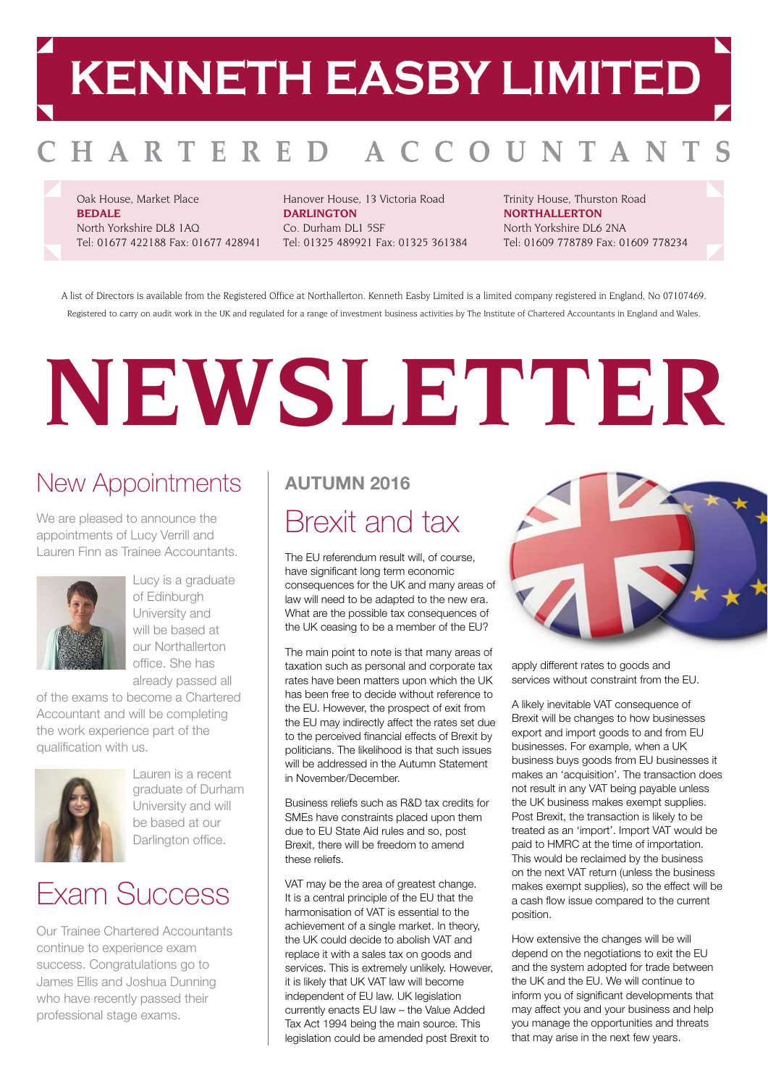## **KENNETH EASBY LIMITED**

#### HARTERED OUNTAN A C

Oak House, Market Place **BEDALE** North Yorkshire DL8 1AQ Tel: 01677 422188 Fax: 01677 428941

Hanover House, 13 Victoria Road **DARLINGTON** Co. Durham DL1 5SF Tel: 01325 489921 Fax: 01325 361384 Trinity House, Thurston Road **NORTHALLERTON** North Yorkshire DL6 2NA Tel: 01609 778789 Fax: 01609 778234

A list of Directors is available from the Registered Office at Northallerton. Kenneth Easby Limited is a limited company registered in England, No 07107469. Registered to carry on audit work in the UK and regulated for a range of investment business activities by The Institute of Chartered Accountants in England and Wales.

# **NEWSLETTER**

### New Appointments

We are pleased to announce the appointments of Lucy Verrill and Lauren Finn as Trainee Accountants.



Lucy is a graduate of Edinburgh University and will be based at our Northallerton office. She has already passed all

of the exams to become a Chartered Accountant and will be completing the work experience part of the qualification with us.



Lauren is a recent graduate of Durham University and will be based at our Darlington office.

### Exam Success

Our Trainee Chartered Accountants continue to experience exam success. Congratulations go to James Ellis and Joshua Dunning who have recently passed their professional stage exams.

### Brexit and tax **AUTUMN 2016**

The EU referendum result will, of course, have significant long term economic consequences for the UK and many areas of law will need to be adapted to the new era. What are the possible tax consequences of the UK ceasing to be a member of the EU?

The main point to note is that many areas of taxation such as personal and corporate tax rates have been matters upon which the UK has been free to decide without reference to the EU. However, the prospect of exit from the EU may indirectly affect the rates set due to the perceived financial effects of Brexit by politicians. The likelihood is that such issues will be addressed in the Autumn Statement in November/December.

Business reliefs such as R&D tax credits for SMEs have constraints placed upon them due to EU State Aid rules and so, post Brexit, there will be freedom to amend these reliefs.

VAT may be the area of greatest change. It is a central principle of the EU that the harmonisation of VAT is essential to the achievement of a single market. In theory, the UK could decide to abolish VAT and replace it with a sales tax on goods and services. This is extremely unlikely. However, it is likely that UK VAT law will become independent of EU law. UK legislation currently enacts EU law – the Value Added Tax Act 1994 being the main source. This legislation could be amended post Brexit to



apply different rates to goods and services without constraint from the EU.

A likely inevitable VAT consequence of Brexit will be changes to how businesses export and import goods to and from EU businesses. For example, when a UK business buys goods from EU businesses it makes an 'acquisition'. The transaction does not result in any VAT being payable unless the UK business makes exempt supplies. Post Brexit, the transaction is likely to be treated as an 'import'. Import VAT would be paid to HMRC at the time of importation. This would be reclaimed by the business on the next VAT return (unless the business makes exempt supplies), so the effect will be a cash flow issue compared to the current position.

How extensive the changes will be will depend on the negotiations to exit the EU and the system adopted for trade between the UK and the EU. We will continue to inform you of significant developments that may affect you and your business and help you manage the opportunities and threats that may arise in the next few years.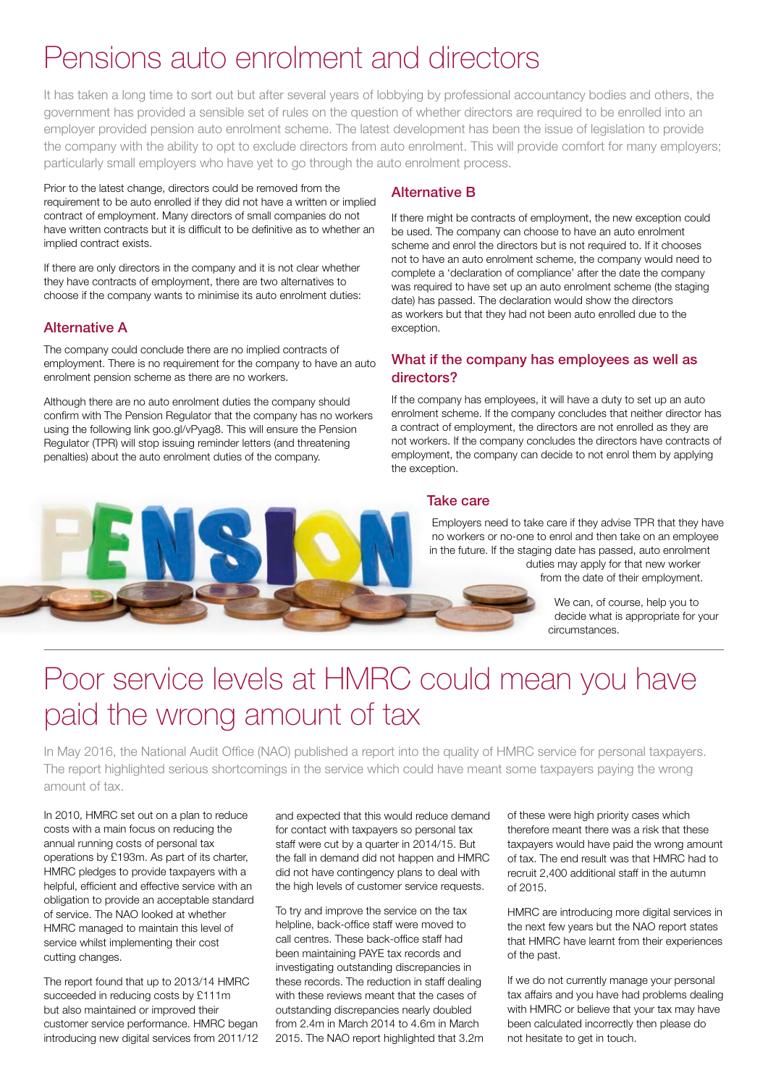### Pensions auto enrolment and directors

It has taken a long time to sort out but after several years of lobbying by professional accountancy bodies and others, the government has provided a sensible set of rules on the question of whether directors are required to be enrolled into an employer provided pension auto enrolment scheme. The latest development has been the issue of legislation to provide the company with the ability to opt to exclude directors from auto enrolment. This will provide comfort for many employers; particularly small employers who have yet to go through the auto enrolment process.

Prior to the latest change, directors could be removed from the requirement to be auto enrolled if they did not have a written or implied contract of employment. Many directors of small companies do not have written contracts but it is difficult to be definitive as to whether an implied contract exists.

If there are only directors in the company and it is not clear whether they have contracts of employment, there are two alternatives to choose if the company wants to minimise its auto enrolment duties:

### Alternative A

The company could conclude there are no implied contracts of employment. There is no requirement for the company to have an auto enrolment pension scheme as there are no workers.

Although there are no auto enrolment duties the company should confirm with The Pension Regulator that the company has no workers using the following link goo.gl/vPyag8. This will ensure the Pension Regulator (TPR) will stop issuing reminder letters (and threatening penalties) about the auto enrolment duties of the company.

### Alternative B

If there might be contracts of employment, the new exception could be used. The company can choose to have an auto enrolment scheme and enrol the directors but is not required to. If it chooses not to have an auto enrolment scheme, the company would need to complete a 'declaration of compliance' after the date the company was required to have set up an auto enrolment scheme (the staging date) has passed. The declaration would show the directors as workers but that they had not been auto enrolled due to the exception.

#### What if the company has employees as well as directors?

If the company has employees, it will have a duty to set up an auto enrolment scheme. If the company concludes that neither director has a contract of employment, the directors are not enrolled as they are not workers. If the company concludes the directors have contracts of employment, the company can decide to not enrol them by applying the exception.

#### Take care

Employers need to take care if they advise TPR that they have no workers or no-one to enrol and then take on an employee in the future. If the staging date has passed, auto enrolment duties may apply for that new worker from the date of their employment.

> We can, of course, help you to decide what is appropriate for your circumstances.

### Poor service levels at HMRC could mean you have paid the wrong amount of tax

In May 2016, the National Audit Office (NAO) published a report into the quality of HMRC service for personal taxpayers. The report highlighted serious shortcomings in the service which could have meant some taxpayers paying the wrong amount of tax.

 In 2010, HMRC set out on a plan to reduce costs with a main focus on reducing the annual running costs of personal tax operations by £193m. As part of its charter, HMRC pledges to provide taxpayers with a helpful, efficient and effective service with an obligation to provide an acceptable standard of service. The NAO looked at whether HMRC managed to maintain this level of service whilst implementing their cost cutting changes.

 The report found that up to 2013/14 HMRC succeeded in reducing costs by £111m but also maintained or improved their customer service performance. HMRC began introducing new digital services from 2011/12  and expected that this would reduce demand for contact with taxpayers so personal tax staff were cut by a quarter in 2014/15. But the fall in demand did not happen and HMRC did not have contingency plans to deal with the high levels of customer service requests.

 To try and improve the service on the tax helpline, back-office staff were moved to call centres. These back-office staff had been maintaining PAYE tax records and investigating outstanding discrepancies in these records. The reduction in staff dealing with these reviews meant that the cases of outstanding discrepancies nearly doubled from 2.4m in March 2014 to 4.6m in March 2015. The NAO report highlighted that 3.2m of these were high priority cases which therefore meant there was a risk that these taxpayers would have paid the wrong amount of tax . The end result was that HMRC had to recruit 2,400 additional staff in the autumn of 2015.

 HMRC are introducing more digital services in the next few years but the NAO report states that HMRC have learnt from their experiences of the past.

If we do not currently manage your personal tax affairs and you have had problems dealing with HMRC or believe that your tax may have been calculated incorrectly then please do not hesitate to get in touch.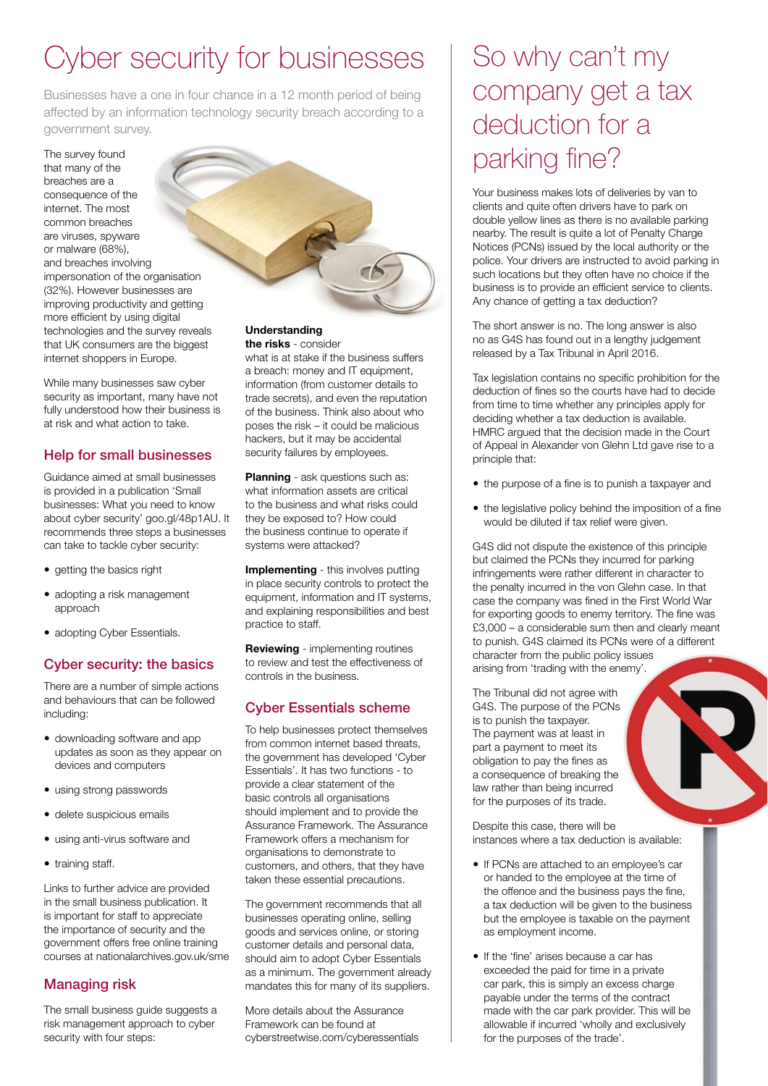### Cyber security for businesses

Businesses have a one in four chance in a 12 month period of being affected by an information technology security breach according to a government survey.

The survey found that many of the breaches are a consequence of the internet. The most common breaches are viruses, spyware or malware (68%), and breaches involving impersonation of the organisation (32%). However businesses are improving productivity and getting more efficient by using digital technologies and the survey reveals that UK consumers are the biggest internet shoppers in Europe.

While many businesses saw cyber security as important, many have not fully understood how their business is at risk and what action to take.

### Help for small businesses

Guidance aimed at small businesses is provided in a publication 'Small businesses: What you need to know about cyber security' goo.gl/48p1AU. It recommends three steps a businesses can take to tackle cyber security:

- getting the basics right
- adopting a risk management approach
- adopting Cyber Essentials.

### Cyber security: the basics

There are a number of simple actions and behaviours that can be followed including:

- downloading software and app updates as soon as they appear on devices and computers
- using strong passwords
- delete suspicious emails
- using anti-virus software and
- training staff.

Links to further advice are provided in the small business publication. It is important for staff to appreciate the importance of security and the government offers free online training courses at nationalarchives.gov.uk/sme

### Managing risk

The small business guide suggests a risk management approach to cyber security with four steps:

#### **Understanding the risks** - consider

what is at stake if the business suffers a breach: money and IT equipment, information (from customer details to trade secrets), and even the reputation of the business. Think also about who poses the risk – it could be malicious hackers, but it may be accidental security failures by employees.

**Planning** - ask questions such as: what information assets are critical to the business and what risks could they be exposed to? How could the business continue to operate if systems were attacked?

**Implementing** - this involves putting in place security controls to protect the equipment, information and IT systems, and explaining responsibilities and best practice to staff.

**Reviewing** - implementing routines to review and test the effectiveness of controls in the business.

### Cyber Essentials scheme

To help businesses protect themselves from common internet based threats, the government has developed 'Cyber Essentials'. It has two functions - to provide a clear statement of the basic controls all organisations should implement and to provide the Assurance Framework. The Assurance Framework offers a mechanism for organisations to demonstrate to customers, and others, that they have taken these essential precautions.

The government recommends that all businesses operating online, selling goods and services online, or storing customer details and personal data, should aim to adopt Cyber Essentials as a minimum. The government already mandates this for many of its suppliers.

More details about the Assurance Framework can be found at cyberstreetwise.com/cyberessentials

### So why can't my company get a tax deduction for a parking fine?

Your business makes lots of deliveries by van to clients and quite often drivers have to park on double yellow lines as there is no available parking nearby. The result is quite a lot of Penalty Charge Notices (PCNs) issued by the local authority or the police. Your drivers are instructed to avoid parking in such locations but they often have no choice if the business is to provide an efficient service to clients. Any chance of getting a tax deduction?

The short answer is no. The long answer is also no as G4S has found out in a lengthy judgement released by a Tax Tribunal in April 2016.

Tax legislation contains no specific prohibition for the deduction of fines so the courts have had to decide from time to time whether any principles apply for deciding whether a tax deduction is available. HMRC argued that the decision made in the Court of Appeal in Alexander von Glehn Ltd gave rise to a principle that:

- the purpose of a fine is to punish a taxpayer and
- the legislative policy behind the imposition of a fine would be diluted if tax relief were given.

G4S did not dispute the existence of this principle but claimed the PCNs they incurred for parking infringements were rather different in character to the penalty incurred in the von Glehn case. In that case the company was fined in the First World War for exporting goods to enemy territory. The fine was £3,000 – a considerable sum then and clearly meant to punish. G4S claimed its PCNs were of a different character from the public policy issues arising from 'trading with the enemy'.

The Tribunal did not agree with G4S. The purpose of the PCNs is to punish the taxpayer. The payment was at least in part a payment to meet its obligation to pay the fines as a consequence of breaking the law rather than being incurred for the purposes of its trade.

Despite this case, there will be instances where a tax deduction is available:

- If PCNs are attached to an employee's car or handed to the employee at the time of the offence and the business pays the fine, a tax deduction will be given to the business but the employee is taxable on the payment as employment income.
- If the 'fine' arises because a car has exceeded the paid for time in a private car park, this is simply an excess charge payable under the terms of the contract made with the car park provider. This will be allowable if incurred 'wholly and exclusively for the purposes of the trade'.